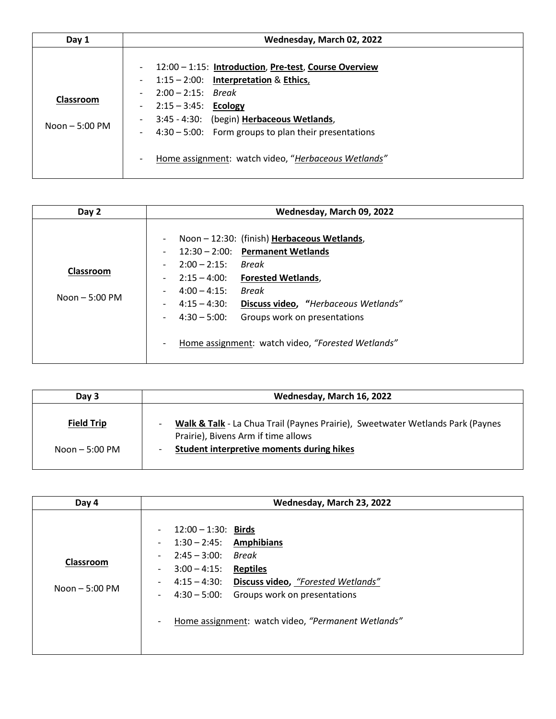| Day 1                               | Wednesday, March 02, 2022                                                                                                                                                                                                                                                                                                                                                                                                            |
|-------------------------------------|--------------------------------------------------------------------------------------------------------------------------------------------------------------------------------------------------------------------------------------------------------------------------------------------------------------------------------------------------------------------------------------------------------------------------------------|
| <b>Classroom</b><br>Noon $-5:00$ PM | 12:00 - 1:15: Introduction, Pre-test, Course Overview<br>$\overline{\phantom{a}}$<br>$1:15 - 2:00$ : Interpretation & Ethics,<br>$\overline{\phantom{a}}$<br>$2:00 - 2:15$ : Break<br>$2:15 - 3:45$ : Ecology<br>3:45 - 4:30: (begin) Herbaceous Wetlands,<br>$\overline{\phantom{a}}$<br>$4:30 - 5:00$ : Form groups to plan their presentations<br>$\overline{\phantom{a}}$<br>Home assignment: watch video, "Herbaceous Wetlands" |

| Day 2                                | Wednesday, March 09, 2022                                                                                                                                                                                                                                                                                                                                                                                                                                                                                                                                                                        |
|--------------------------------------|--------------------------------------------------------------------------------------------------------------------------------------------------------------------------------------------------------------------------------------------------------------------------------------------------------------------------------------------------------------------------------------------------------------------------------------------------------------------------------------------------------------------------------------------------------------------------------------------------|
| <b>Classroom</b><br>$Noon - 5:00 PM$ | Noon-12:30: (finish) Herbaceous Wetlands,<br>$\qquad \qquad \blacksquare$<br>$12:30 - 2:00$ : Permanent Wetlands<br>$\overline{\phantom{0}}$<br>$2:00 - 2:15$<br>Break<br>$\overline{\phantom{a}}$<br>$2:15 - 4:00:$<br><b>Forested Wetlands,</b><br>$\overline{\phantom{0}}$<br>$4:00 - 4:15$ :<br>Break<br>$\qquad \qquad \blacksquare$<br>Discuss video, "Herbaceous Wetlands"<br>$4:15 - 4:30$ :<br>$\overline{\phantom{0}}$<br>$4:30 - 5:00$ :<br>Groups work on presentations<br>$\overline{\phantom{0}}$<br>Home assignment: watch video, "Forested Wetlands"<br>$\overline{\phantom{0}}$ |

| Day 3             | Wednesday, March 16, 2022                                                                                             |
|-------------------|-----------------------------------------------------------------------------------------------------------------------|
| <b>Field Trip</b> | Walk & Talk - La Chua Trail (Paynes Prairie), Sweetwater Wetlands Park (Paynes<br>Prairie), Bivens Arm if time allows |
| Noon $-5:00$ PM   | Student interpretive moments during hikes                                                                             |

| Day 4                        | Wednesday, March 23, 2022                                                                                                                                                                                                                                                                                                                                                                                                                                                       |
|------------------------------|---------------------------------------------------------------------------------------------------------------------------------------------------------------------------------------------------------------------------------------------------------------------------------------------------------------------------------------------------------------------------------------------------------------------------------------------------------------------------------|
| Classroom<br>Noon $-5:00$ PM | $12:00 - 1:30$ : Birds<br>$\overline{\phantom{a}}$<br>$1:30 - 2:45$ : Amphibians<br>$\overline{\phantom{a}}$<br>$2:45 - 3:00:$<br>Break<br>$\overline{\phantom{a}}$<br>$3:00 - 4:15$ :<br><b>Reptiles</b><br>$\overline{\phantom{a}}$<br>4:15 - 4:30: Discuss video, "Forested Wetlands"<br>$\overline{\phantom{a}}$<br>4:30 - 5:00: Groups work on presentations<br>$\overline{\phantom{a}}$<br>Home assignment: watch video, "Permanent Wetlands"<br>$\overline{\phantom{a}}$ |